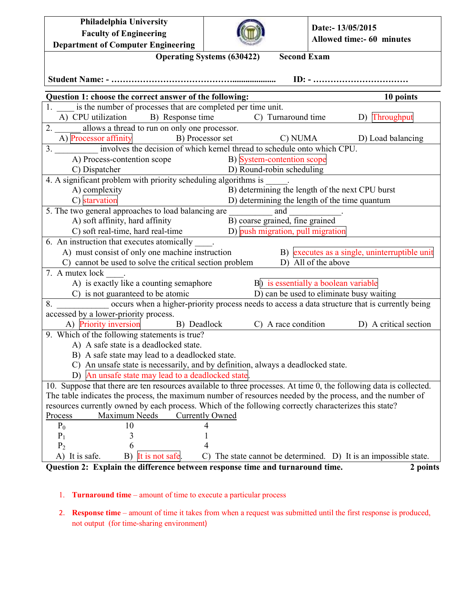| Philadelphia University                                                                                                                                                                                            |                                                                |                                                               |  |  |  |  |  |  |
|--------------------------------------------------------------------------------------------------------------------------------------------------------------------------------------------------------------------|----------------------------------------------------------------|---------------------------------------------------------------|--|--|--|--|--|--|
| <b>Faculty of Engineering</b>                                                                                                                                                                                      |                                                                | Date:- 13/05/2015                                             |  |  |  |  |  |  |
| <b>Department of Computer Engineering</b>                                                                                                                                                                          |                                                                | Allowed time:- 60 minutes                                     |  |  |  |  |  |  |
| <b>Operating Systems (630422)</b><br><b>Second Exam</b>                                                                                                                                                            |                                                                |                                                               |  |  |  |  |  |  |
|                                                                                                                                                                                                                    |                                                                |                                                               |  |  |  |  |  |  |
|                                                                                                                                                                                                                    |                                                                |                                                               |  |  |  |  |  |  |
| Question 1: choose the correct answer of the following:                                                                                                                                                            |                                                                | 10 points                                                     |  |  |  |  |  |  |
| 1. is the number of processes that are completed per time unit.                                                                                                                                                    |                                                                |                                                               |  |  |  |  |  |  |
| A) CPU utilization B) Response time<br>D) Throughput<br>$\overline{C}$ Turnaround time                                                                                                                             |                                                                |                                                               |  |  |  |  |  |  |
| 2. allows a thread to run on only one processor.                                                                                                                                                                   |                                                                |                                                               |  |  |  |  |  |  |
|                                                                                                                                                                                                                    |                                                                | C) NUMA D) Load balancing                                     |  |  |  |  |  |  |
| A) Processor affinity<br>3. __________ involves the decision of which kernel thread to schedule onto which CPU.                                                                                                    |                                                                |                                                               |  |  |  |  |  |  |
| A) Process-contention scope B) System-contention scope                                                                                                                                                             |                                                                |                                                               |  |  |  |  |  |  |
| D) Round-robin scheduling<br>C) Dispatcher<br>$\frac{C}{4}$ . A significant problem with priority scheduling algorithms is ______.                                                                                 |                                                                |                                                               |  |  |  |  |  |  |
|                                                                                                                                                                                                                    |                                                                |                                                               |  |  |  |  |  |  |
| B) determining the length of the next CPU burst<br>A) complexity                                                                                                                                                   |                                                                |                                                               |  |  |  |  |  |  |
|                                                                                                                                                                                                                    | C) starvation<br>D) determining the length of the time quantum |                                                               |  |  |  |  |  |  |
| 5. The two general approaches to load balancing are                                                                                                                                                                | and                                                            |                                                               |  |  |  |  |  |  |
| A) soft affinity, hard affinity                                                                                                                                                                                    | B) coarse grained, fine grained                                |                                                               |  |  |  |  |  |  |
| $\overrightarrow{C}$ ) soft real-time, hard real-time $\overrightarrow{D}$ push migration, pull migration                                                                                                          |                                                                |                                                               |  |  |  |  |  |  |
| 6. An instruction that executes atomically                                                                                                                                                                         |                                                                |                                                               |  |  |  |  |  |  |
| A) must consist of only one machine instruction                                                                                                                                                                    |                                                                | B) executes as a single, uninterruptible unit                 |  |  |  |  |  |  |
| C) cannot be used to solve the critical section problem<br>D) All of the above                                                                                                                                     |                                                                |                                                               |  |  |  |  |  |  |
| 7. A mutex lock .                                                                                                                                                                                                  |                                                                |                                                               |  |  |  |  |  |  |
| A) is exactly like a counting semaphore B) is essentially a boolean variable                                                                                                                                       |                                                                |                                                               |  |  |  |  |  |  |
| C) is not guaranteed to be atomic                                                                                                                                                                                  | D) can be used to eliminate busy waiting                       |                                                               |  |  |  |  |  |  |
| occurs when a higher-priority process needs to access a data structure that is currently being<br>8.                                                                                                               |                                                                |                                                               |  |  |  |  |  |  |
| accessed by a lower-priority process.                                                                                                                                                                              |                                                                |                                                               |  |  |  |  |  |  |
| A) Priority inversion B) Deadlock                                                                                                                                                                                  |                                                                | C) A race condition D) A critical section                     |  |  |  |  |  |  |
| 9. Which of the following statements is true?                                                                                                                                                                      |                                                                |                                                               |  |  |  |  |  |  |
| A) A safe state is a deadlocked state.                                                                                                                                                                             |                                                                |                                                               |  |  |  |  |  |  |
| B) A safe state may lead to a deadlocked state.                                                                                                                                                                    |                                                                |                                                               |  |  |  |  |  |  |
| C) An unsafe state is necessarily, and by definition, always a deadlocked state.                                                                                                                                   |                                                                |                                                               |  |  |  |  |  |  |
| An unsafe state may lead to a deadlocked state<br>D)                                                                                                                                                               |                                                                |                                                               |  |  |  |  |  |  |
| 10. Suppose that there are ten resources available to three processes. At time 0, the following data is collected.                                                                                                 |                                                                |                                                               |  |  |  |  |  |  |
| The table indicates the process, the maximum number of resources needed by the process, and the number of<br>resources currently owned by each process. Which of the following correctly characterizes this state? |                                                                |                                                               |  |  |  |  |  |  |
| Process<br>Maximum Needs<br><b>Currently Owned</b>                                                                                                                                                                 |                                                                |                                                               |  |  |  |  |  |  |
| $P_0$<br>10                                                                                                                                                                                                        |                                                                |                                                               |  |  |  |  |  |  |
| $P_1$<br>3                                                                                                                                                                                                         |                                                                |                                                               |  |  |  |  |  |  |
| P <sub>2</sub><br>6                                                                                                                                                                                                |                                                                |                                                               |  |  |  |  |  |  |
| B)<br>It is not safe.<br>A) It is safe.                                                                                                                                                                            | C)                                                             | The state cannot be determined. D) It is an impossible state. |  |  |  |  |  |  |
| Question 2: Explain the difference between response time and turnaround time.<br>2 points                                                                                                                          |                                                                |                                                               |  |  |  |  |  |  |

## 1. **Turnaround time** – amount of time to execute a particular process

2. **Response time** – amount of time it takes from when a request was submitted until the first response is produced, not output (for time-sharing environment)